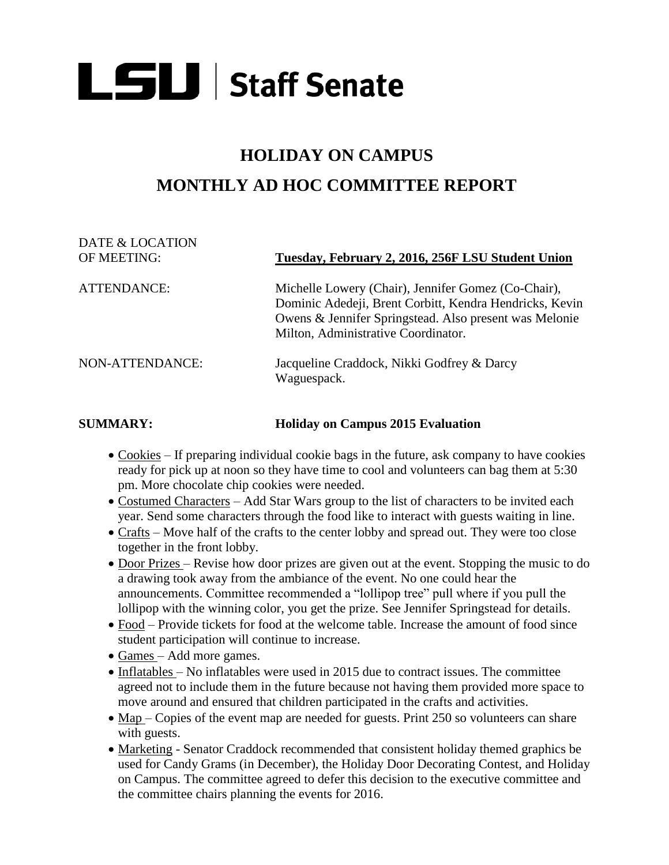# **LSU** Staff Senate

## **HOLIDAY ON CAMPUS MONTHLY AD HOC COMMITTEE REPORT**

## DATE & LOCATION OF MEETING: **Tuesday, February 2, 2016, 256F LSU Student Union** ATTENDANCE: Michelle Lowery (Chair), Jennifer Gomez (Co-Chair), Dominic Adedeji, Brent Corbitt, Kendra Hendricks, Kevin Owens & Jennifer Springstead. Also present was Melonie Milton, Administrative Coordinator. NON-ATTENDANCE: Jacqueline Craddock, Nikki Godfrey & Darcy Waguespack.

#### **SUMMARY: Holiday on Campus 2015 Evaluation**

- Cookies If preparing individual cookie bags in the future, ask company to have cookies ready for pick up at noon so they have time to cool and volunteers can bag them at 5:30 pm. More chocolate chip cookies were needed.
- Costumed Characters Add Star Wars group to the list of characters to be invited each year. Send some characters through the food like to interact with guests waiting in line.
- Crafts Move half of the crafts to the center lobby and spread out. They were too close together in the front lobby.
- Door Prizes Revise how door prizes are given out at the event. Stopping the music to do a drawing took away from the ambiance of the event. No one could hear the announcements. Committee recommended a "lollipop tree" pull where if you pull the lollipop with the winning color, you get the prize. See Jennifer Springstead for details.
- Food Provide tickets for food at the welcome table. Increase the amount of food since student participation will continue to increase.
- Games Add more games.
- $\bullet$  Inflatables No inflatables were used in 2015 due to contract issues. The committee agreed not to include them in the future because not having them provided more space to move around and ensured that children participated in the crafts and activities.
- Map Copies of the event map are needed for guests. Print 250 so volunteers can share with guests.
- Marketing Senator Craddock recommended that consistent holiday themed graphics be used for Candy Grams (in December), the Holiday Door Decorating Contest, and Holiday on Campus. The committee agreed to defer this decision to the executive committee and the committee chairs planning the events for 2016.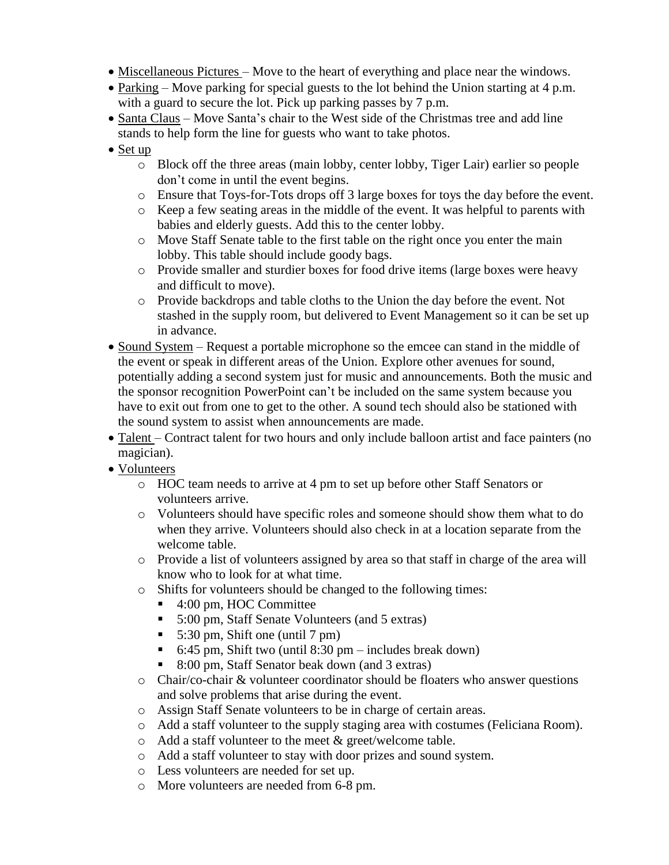- Miscellaneous Pictures Move to the heart of everything and place near the windows.
- Parking Move parking for special guests to the lot behind the Union starting at 4 p.m. with a guard to secure the lot. Pick up parking passes by 7 p.m.
- Santa Claus Move Santa's chair to the West side of the Christmas tree and add line stands to help form the line for guests who want to take photos.
- Set up
	- o Block off the three areas (main lobby, center lobby, Tiger Lair) earlier so people don't come in until the event begins.
	- o Ensure that Toys-for-Tots drops off 3 large boxes for toys the day before the event.
	- o Keep a few seating areas in the middle of the event. It was helpful to parents with babies and elderly guests. Add this to the center lobby.
	- o Move Staff Senate table to the first table on the right once you enter the main lobby. This table should include goody bags.
	- o Provide smaller and sturdier boxes for food drive items (large boxes were heavy and difficult to move).
	- o Provide backdrops and table cloths to the Union the day before the event. Not stashed in the supply room, but delivered to Event Management so it can be set up in advance.
- Sound System Request a portable microphone so the emcee can stand in the middle of the event or speak in different areas of the Union. Explore other avenues for sound, potentially adding a second system just for music and announcements. Both the music and the sponsor recognition PowerPoint can't be included on the same system because you have to exit out from one to get to the other. A sound tech should also be stationed with the sound system to assist when announcements are made.
- Talent Contract talent for two hours and only include balloon artist and face painters (no magician).
- Volunteers
	- o HOC team needs to arrive at 4 pm to set up before other Staff Senators or volunteers arrive.
	- o Volunteers should have specific roles and someone should show them what to do when they arrive. Volunteers should also check in at a location separate from the welcome table.
	- o Provide a list of volunteers assigned by area so that staff in charge of the area will know who to look for at what time.
	- o Shifts for volunteers should be changed to the following times:
		- 4:00 pm, HOC Committee
		- 5:00 pm, Staff Senate Volunteers (and 5 extras)
		- 5:30 pm, Shift one (until 7 pm)
		- 6:45 pm, Shift two (until 8:30 pm includes break down)
		- 8:00 pm, Staff Senator beak down (and 3 extras)
	- o Chair/co-chair & volunteer coordinator should be floaters who answer questions and solve problems that arise during the event.
	- o Assign Staff Senate volunteers to be in charge of certain areas.
	- o Add a staff volunteer to the supply staging area with costumes (Feliciana Room).
	- o Add a staff volunteer to the meet & greet/welcome table.
	- o Add a staff volunteer to stay with door prizes and sound system.
	- o Less volunteers are needed for set up.
	- o More volunteers are needed from 6-8 pm.